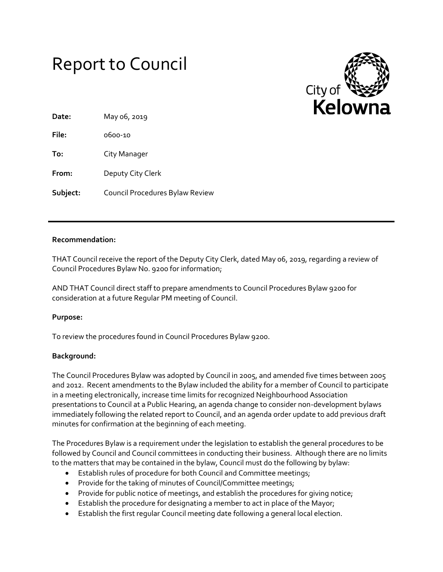# Report to Council



| Date:    | May 06, 2019                    |
|----------|---------------------------------|
| File:    | 0600-10                         |
| To:      | City Manager                    |
| From:    | Deputy City Clerk               |
| Subject: | Council Procedures Bylaw Review |

## **Recommendation:**

THAT Council receive the report of the Deputy City Clerk, dated May 06, 2019, regarding a review of Council Procedures Bylaw No. 9200 for information;

AND THAT Council direct staff to prepare amendments to Council Procedures Bylaw 9200 for consideration at a future Regular PM meeting of Council.

# **Purpose:**

To review the procedures found in Council Procedures Bylaw 9200.

#### **Background:**

The Council Procedures Bylaw was adopted by Council in 2005, and amended five times between 2005 and 2012. Recent amendments to the Bylaw included the ability for a member of Council to participate in a meeting electronically, increase time limits for recognized Neighbourhood Association presentations to Council at a Public Hearing, an agenda change to consider non-development bylaws immediately following the related report to Council, and an agenda order update to add previous draft minutes for confirmation at the beginning of each meeting.

The Procedures Bylaw is a requirement under the legislation to establish the general procedures to be followed by Council and Council committees in conducting their business. Although there are no limits to the matters that may be contained in the bylaw, Council must do the following by bylaw:

- Establish rules of procedure for both Council and Committee meetings;
- Provide for the taking of minutes of Council/Committee meetings;
- Provide for public notice of meetings, and establish the procedures for giving notice;
- Establish the procedure for designating a member to act in place of the Mayor;
- Establish the first regular Council meeting date following a general local election.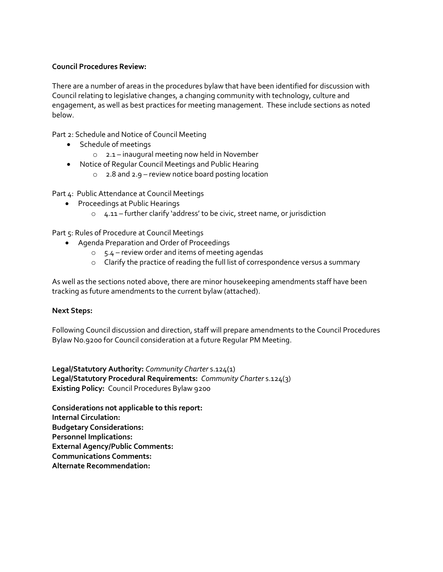## **Council Procedures Review:**

There are a number of areas in the procedures bylaw that have been identified for discussion with Council relating to legislative changes, a changing community with technology, culture and engagement, as well as best practices for meeting management. These include sections as noted below.

Part 2: Schedule and Notice of Council Meeting

- Schedule of meetings
	- o 2.1 inaugural meeting now held in November
- Notice of Regular Council Meetings and Public Hearing
	- o 2.8 and 2.9 review notice board posting location

Part 4: Public Attendance at Council Meetings

- **•** Proceedings at Public Hearings
	- $\circ$  4.11 further clarify 'address' to be civic, street name, or jurisdiction

Part 5: Rules of Procedure at Council Meetings

- Agenda Preparation and Order of Proceedings
	- o 5.4 review order and items of meeting agendas
	- o Clarify the practice of reading the full list of correspondence versus a summary

As well as the sections noted above, there are minor housekeeping amendments staff have been tracking as future amendments to the current bylaw (attached).

# **Next Steps:**

Following Council discussion and direction, staff will prepare amendments to the Council Procedures Bylaw No.9200 for Council consideration at a future Regular PM Meeting.

**Legal/Statutory Authority:** *Community Charter* s.124(1) **Legal/Statutory Procedural Requirements:** *Community Charter* s.124(3) **Existing Policy:** Council Procedures Bylaw 9200

**Considerations not applicable to this report: Internal Circulation: Budgetary Considerations: Personnel Implications: External Agency/Public Comments: Communications Comments: Alternate Recommendation:**